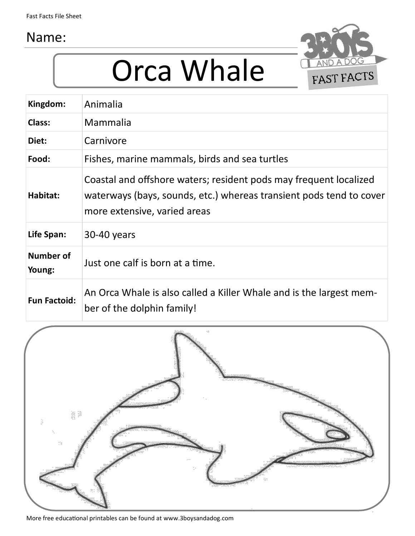



| Kingdom:            | Animalia                                                                                                                                                                 |
|---------------------|--------------------------------------------------------------------------------------------------------------------------------------------------------------------------|
| Class:              | Mammalia                                                                                                                                                                 |
| Diet:               | Carnivore                                                                                                                                                                |
| Food:               | Fishes, marine mammals, birds and sea turtles                                                                                                                            |
| Habitat:            | Coastal and offshore waters; resident pods may frequent localized<br>waterways (bays, sounds, etc.) whereas transient pods tend to cover<br>more extensive, varied areas |
| Life Span:          | 30-40 years                                                                                                                                                              |
| Number of<br>Young: | Just one calf is born at a time.                                                                                                                                         |
| <b>Fun Factoid:</b> | An Orca Whale is also called a Killer Whale and is the largest mem-<br>ber of the dolphin family!                                                                        |

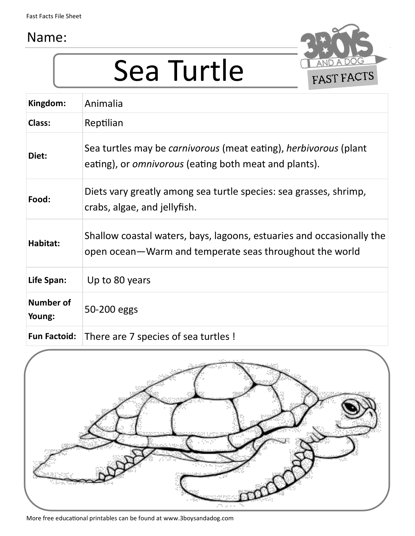## Sea Turtle



| Kingdom:                   | Animalia                                                                                                                                       |
|----------------------------|------------------------------------------------------------------------------------------------------------------------------------------------|
| Class:                     | Reptilian                                                                                                                                      |
| Diet:                      | Sea turtles may be <i>carnivorous</i> (meat eating), <i>herbivorous</i> (plant<br>eating), or <i>omnivorous</i> (eating both meat and plants). |
| Food:                      | Diets vary greatly among sea turtle species: sea grasses, shrimp,<br>crabs, algae, and jellyfish.                                              |
| Habitat:                   | Shallow coastal waters, bays, lagoons, estuaries and occasionally the<br>open ocean—Warm and temperate seas throughout the world               |
| Life Span:                 | Up to 80 years                                                                                                                                 |
| <b>Number of</b><br>Young: | 50-200 eggs                                                                                                                                    |
| <b>Fun Factoid:</b>        | There are 7 species of sea turtles!                                                                                                            |

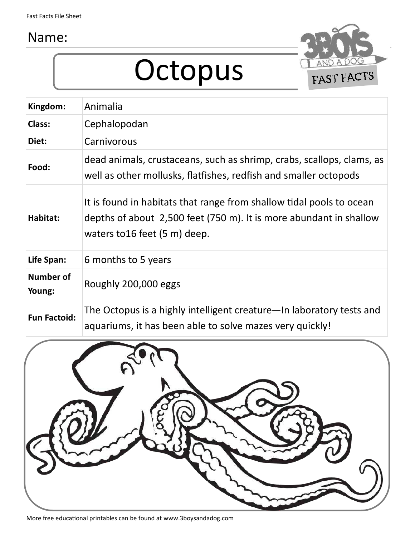### Octopus



| Kingdom:                   | Animalia                                                                                                                                                                    |
|----------------------------|-----------------------------------------------------------------------------------------------------------------------------------------------------------------------------|
| Class:                     | Cephalopodan                                                                                                                                                                |
| Diet:                      | Carnivorous                                                                                                                                                                 |
| Food:                      | dead animals, crustaceans, such as shrimp, crabs, scallops, clams, as<br>well as other mollusks, flatfishes, redfish and smaller octopods                                   |
| Habitat:                   | It is found in habitats that range from shallow tidal pools to ocean<br>depths of about 2,500 feet (750 m). It is more abundant in shallow<br>waters to 16 feet (5 m) deep. |
| Life Span:                 | 6 months to 5 years                                                                                                                                                         |
| <b>Number of</b><br>Young: | Roughly 200,000 eggs                                                                                                                                                        |
| <b>Fun Factoid:</b>        | The Octopus is a highly intelligent creature—In laboratory tests and<br>aquariums, it has been able to solve mazes very quickly!                                            |

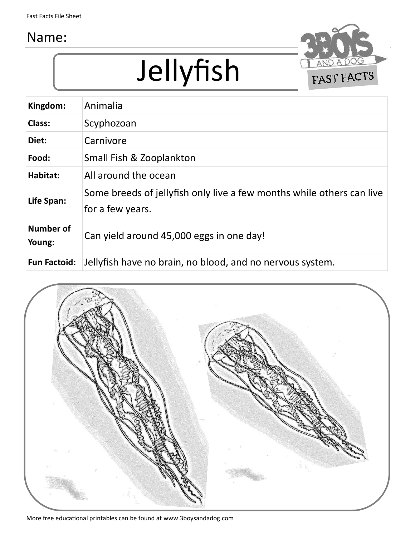

## Jellyfish

| Kingdom:                   | Animalia                                                                                  |
|----------------------------|-------------------------------------------------------------------------------------------|
| Class:                     | Scyphozoan                                                                                |
| Diet:                      | Carnivore                                                                                 |
| Food:                      | Small Fish & Zooplankton                                                                  |
| Habitat:                   | All around the ocean                                                                      |
| Life Span:                 | Some breeds of jellyfish only live a few months while others can live<br>for a few years. |
| <b>Number of</b><br>Young: | Can yield around 45,000 eggs in one day!                                                  |
| <b>Fun Factoid:</b>        | Jellyfish have no brain, no blood, and no nervous system.                                 |

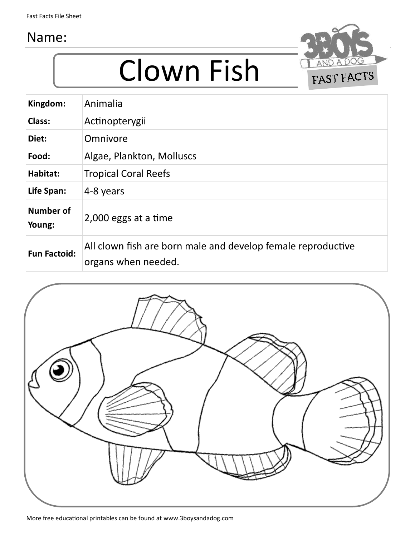

### Clown Fish

| Kingdom:                   | Animalia                                                                            |
|----------------------------|-------------------------------------------------------------------------------------|
| Class:                     | Actinopterygii                                                                      |
| Diet:                      | Omnivore                                                                            |
| Food:                      | Algae, Plankton, Molluscs                                                           |
| Habitat:                   | <b>Tropical Coral Reefs</b>                                                         |
| Life Span:                 | 4-8 years                                                                           |
| <b>Number of</b><br>Young: | 2,000 eggs at a time                                                                |
| <b>Fun Factoid:</b>        | All clown fish are born male and develop female reproductive<br>organs when needed. |

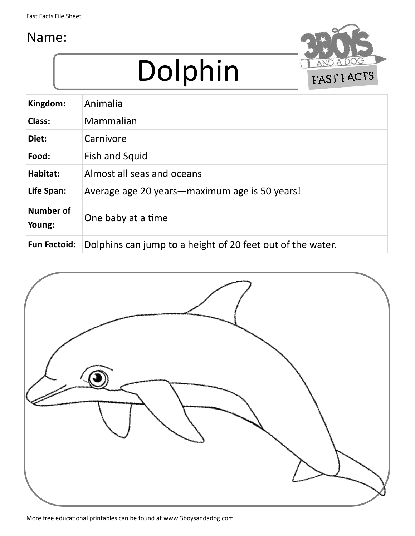# Dolphin



| Animalia                                                   |
|------------------------------------------------------------|
| Mammalian                                                  |
| Carnivore                                                  |
| <b>Fish and Squid</b>                                      |
| Almost all seas and oceans                                 |
| Average age 20 years—maximum age is 50 years!              |
| One baby at a time                                         |
| Dolphins can jump to a height of 20 feet out of the water. |
|                                                            |

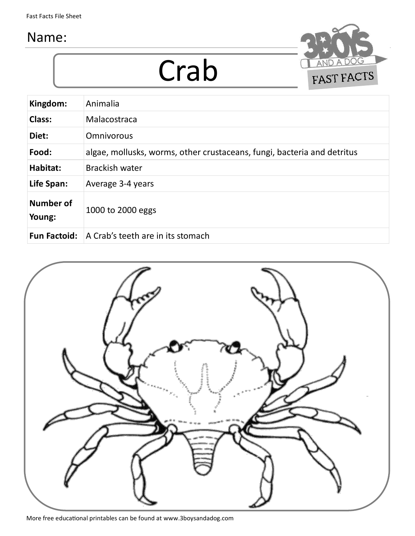Crab



| Kingdom:            | Animalia                                                                |
|---------------------|-------------------------------------------------------------------------|
| Class:              | Malacostraca                                                            |
| Diet:               | <b>Omnivorous</b>                                                       |
| Food:               | algae, mollusks, worms, other crustaceans, fungi, bacteria and detritus |
| Habitat:            | <b>Brackish water</b>                                                   |
| Life Span:          | Average 3-4 years                                                       |
| Number of<br>Young: | 1000 to 2000 eggs                                                       |
| <b>Fun Factoid:</b> | A Crab's teeth are in its stomach                                       |

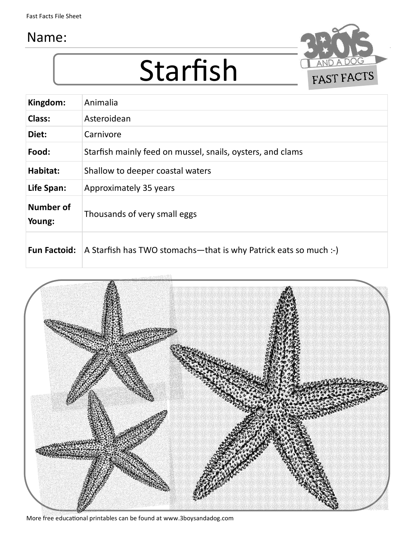



| Kingdom:            | Animalia                                                         |
|---------------------|------------------------------------------------------------------|
| Class:              | Asteroidean                                                      |
| Diet:               | Carnivore                                                        |
| Food:               | Starfish mainly feed on mussel, snails, oysters, and clams       |
| Habitat:            | Shallow to deeper coastal waters                                 |
| Life Span:          | Approximately 35 years                                           |
| Number of<br>Young: | Thousands of very small eggs                                     |
| <b>Fun Factoid:</b> | A Starfish has TWO stomachs—that is why Patrick eats so much :-) |



More free educational printables can be found at www.3boysandadog.com